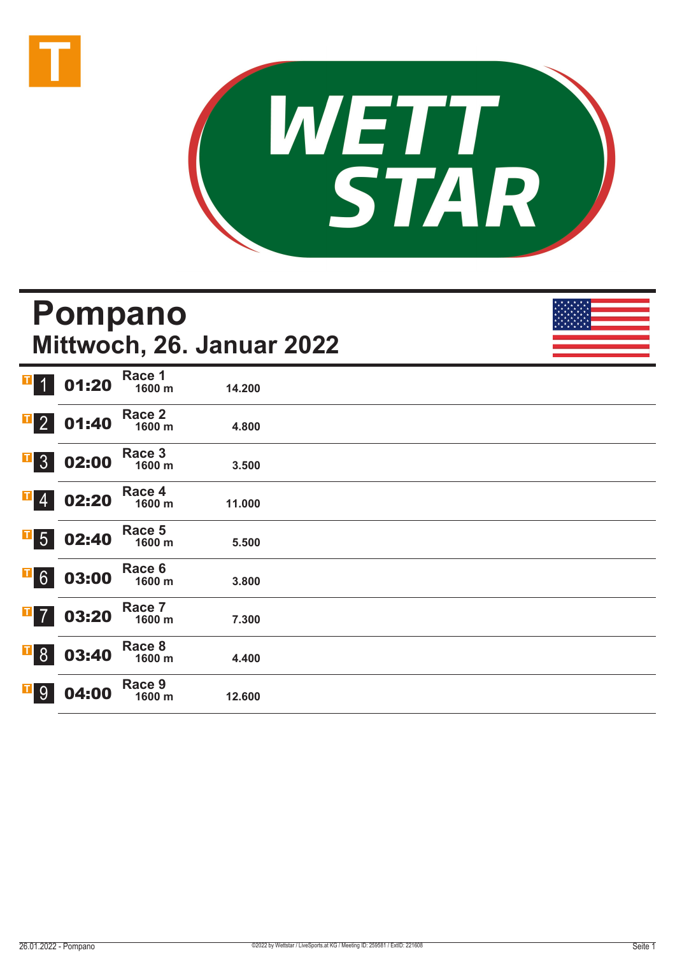



# **Pompano Mittwoch, 26. Januar 2022**

| I<br>$\vert$               | 01:20 | Race 1<br>1600 m | 14.200 |  |
|----------------------------|-------|------------------|--------|--|
| $\overline{1}$ 2           | 01:40 | Race 2<br>1600 m | 4.800  |  |
| $\overline{1}$ 3           | 02:00 | Race 3<br>1600 m | 3.500  |  |
| $\overline{\phantom{0}}$ 4 | 02:20 | Race 4<br>1600 m | 11.000 |  |
| $\overline{1}$ 5           | 02:40 | Race 5<br>1600 m | 5.500  |  |
| $\overline{1}$ 6           | 03:00 | Race 6<br>1600 m | 3.800  |  |
| $\mathbf{I}$ 7             | 03:20 | Race 7<br>1600 m | 7.300  |  |
| $\overline{1}$ 8           | 03:40 | Race 8<br>1600 m | 4.400  |  |
| $\overline{1}$ 9           | 04:00 | Race 9<br>1600 m | 12.600 |  |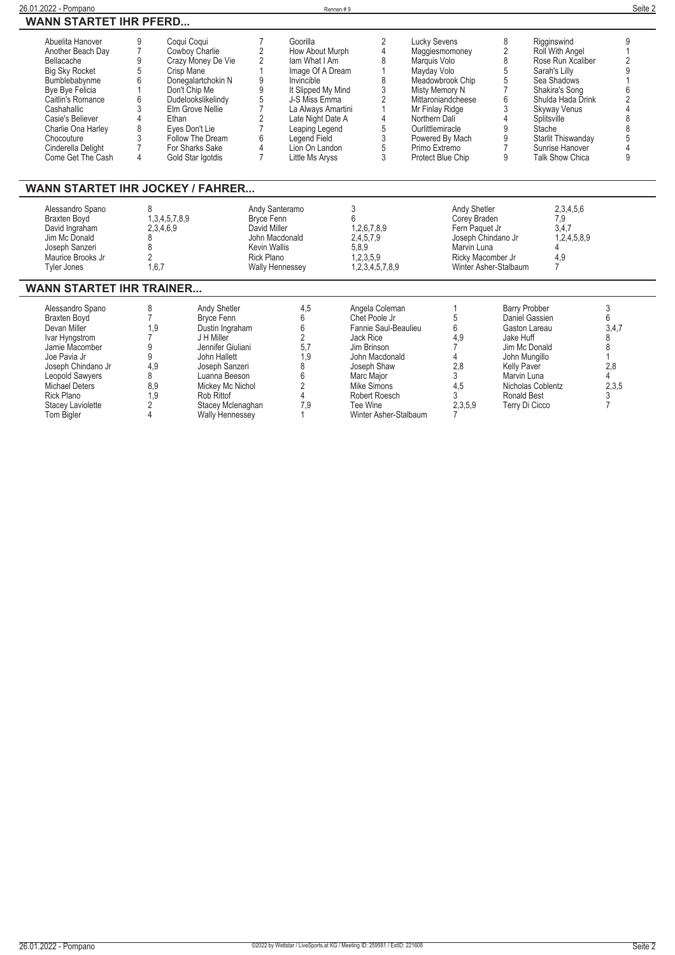| 26.01.2022 - Pompano                                                                                                                                                                                                                                    |                                                                                                                                                                                            |                                                                                                                                                                                                                             |                                                                                                                                      | Rennen #9                                                                                                                                                                                                                               |                                                                                                                                                                                                         |                                                                                                                                                                                                                             |                                                                                                          |                                                                                                                                                                   |                                                                                                                                                                                                                                               | Seite 2                                                               |
|---------------------------------------------------------------------------------------------------------------------------------------------------------------------------------------------------------------------------------------------------------|--------------------------------------------------------------------------------------------------------------------------------------------------------------------------------------------|-----------------------------------------------------------------------------------------------------------------------------------------------------------------------------------------------------------------------------|--------------------------------------------------------------------------------------------------------------------------------------|-----------------------------------------------------------------------------------------------------------------------------------------------------------------------------------------------------------------------------------------|---------------------------------------------------------------------------------------------------------------------------------------------------------------------------------------------------------|-----------------------------------------------------------------------------------------------------------------------------------------------------------------------------------------------------------------------------|----------------------------------------------------------------------------------------------------------|-------------------------------------------------------------------------------------------------------------------------------------------------------------------|-----------------------------------------------------------------------------------------------------------------------------------------------------------------------------------------------------------------------------------------------|-----------------------------------------------------------------------|
|                                                                                                                                                                                                                                                         | <b>WANN STARTET IHR PFERD</b>                                                                                                                                                              |                                                                                                                                                                                                                             |                                                                                                                                      |                                                                                                                                                                                                                                         |                                                                                                                                                                                                         |                                                                                                                                                                                                                             |                                                                                                          |                                                                                                                                                                   |                                                                                                                                                                                                                                               |                                                                       |
| Abuelita Hanover<br>Another Beach Day<br>Bellacache<br><b>Big Sky Rocket</b><br>Bumblebabynme<br>Bye Bye Felicia<br>Caitlin's Romance<br>Cashahallic<br>Casie's Believer<br>Charlie Ona Harley<br>Chocouture<br>Cinderella Delight<br>Come Get The Cash | Coqui Coqui<br>9<br>$\overline{7}$<br>9<br>5<br>Crisp Mane<br>6<br>Don't Chip Me<br>6<br>3<br>$\overline{\Delta}$<br>Fthan<br>8<br>Eyes Don't Lie<br>3<br>$\overline{7}$<br>$\overline{4}$ | Cowboy Charlie<br>Crazy Money De Vie<br>Donegalartchokin N<br>Dudelookslikelindy<br>Elm Grove Nellie<br>Follow The Dream<br>For Sharks Sake<br>Gold Star Igotdis                                                            | 7<br>2<br>2<br>1<br>9<br>$\overline{9}$<br>5<br>$\overline{7}$<br>$\overline{2}$<br>$\overline{7}$<br>6<br>4<br>$\overline{7}$       | Goorilla<br>How About Murph<br>lam What I Am<br>Image Of A Dream<br>Invincible<br>It Slipped My Mind<br>J-S Miss Emma<br>La Always Amartini<br>Late Night Date A<br>Leaping Legend<br>Legend Field<br>Lion On Landon<br>Little Ms Aryss | 2<br>$\overline{4}$<br>8<br>1<br>8<br>3<br>$\overline{2}$<br>$\overline{1}$<br>4<br>5<br>$\sqrt{3}$<br>$\sqrt{5}$<br>3                                                                                  | <b>Lucky Sevens</b><br>Maggiesmomoney<br>Marquis Volo<br>Mayday Volo<br>Meadowbrook Chip<br>Misty Memory N<br>Mr Finlay Ridge<br>Northern Dali<br>Ourlittlemiracle<br>Powered By Mach<br>Primo Extremo<br>Protect Blue Chip | Mittaroniandcheese                                                                                       | 8<br>2<br>8<br>5<br>5<br>7<br>6<br>3<br>4<br>9<br>9<br>$\overline{7}$<br>9                                                                                        | Rigginswind<br>Roll With Angel<br>Rose Run Xcaliber<br>Sarah's Lilly<br>Sea Shadows<br>Shakira's Song<br>Shulda Hada Drink<br><b>Skyway Venus</b><br>Splitsville<br>Stache<br>Starlit Thiswanday<br>Sunrise Hanover<br><b>Talk Show Chica</b> | 9<br>2<br>g<br>$\mathsf{R}$<br>8<br>5<br>9                            |
| <b>WANN STARTET IHR JOCKEY / FAHRER</b>                                                                                                                                                                                                                 |                                                                                                                                                                                            |                                                                                                                                                                                                                             |                                                                                                                                      |                                                                                                                                                                                                                                         |                                                                                                                                                                                                         |                                                                                                                                                                                                                             |                                                                                                          |                                                                                                                                                                   |                                                                                                                                                                                                                                               |                                                                       |
| Alessandro Spano<br><b>Braxten Boyd</b><br>David Ingraham<br>Jim Mc Donald<br>Joseph Sanzeri<br>Maurice Brooks Jr<br><b>Tyler Jones</b>                                                                                                                 | 8<br>1, 3, 4, 5, 7, 8, 9<br>2,3,4,6,9<br>8<br>8<br>$\overline{2}$<br>1,6,7                                                                                                                 |                                                                                                                                                                                                                             | Andy Santeramo<br>Bryce Fenn<br>David Miller<br>John Macdonald<br><b>Kevin Wallis</b><br><b>Rick Plano</b><br><b>Wally Hennessey</b> |                                                                                                                                                                                                                                         | 3<br>6<br>1,2,6,7,8,9<br>2,4,5,7,9<br>5,8,9<br>1,2,3,5,9<br>1,2,3,4,5,7,8,9                                                                                                                             |                                                                                                                                                                                                                             | Andy Shetler<br>Corey Braden<br>Fern Paquet Jr<br>Joseph Chindano Jr<br>Marvin Luna<br>Ricky Macomber Jr | Winter Asher-Stalbaum                                                                                                                                             | 2,3,4,5,6<br>7,9<br>3,4,7<br>1,2,4,5,8,9<br>4<br>4,9<br>$\overline{7}$                                                                                                                                                                        |                                                                       |
| <b>WANN STARTET IHR TRAINER</b>                                                                                                                                                                                                                         |                                                                                                                                                                                            |                                                                                                                                                                                                                             |                                                                                                                                      |                                                                                                                                                                                                                                         |                                                                                                                                                                                                         |                                                                                                                                                                                                                             |                                                                                                          |                                                                                                                                                                   |                                                                                                                                                                                                                                               |                                                                       |
| Alessandro Spano<br><b>Braxten Bovd</b><br>Devan Miller<br>Ivar Hyngstrom<br>Jamie Macomber<br>Joe Pavia Jr<br>Joseph Chindano Jr<br>Leopold Sawyers<br>Michael Deters<br>Rick Plano<br><b>Stacey Laviolette</b><br><b>Tom Bigler</b>                   | 8<br>$\overline{7}$<br>1,9<br>7<br>9<br>9<br>4,9<br>8<br>8,9<br>1,9<br>2<br>4                                                                                                              | <b>Andy Shetler</b><br>Bryce Fenn<br>Dustin Ingraham<br>J H Miller<br>Jennifer Giuliani<br>John Hallett<br>Joseph Sanzeri<br>Luanna Beeson<br>Mickey Mc Nichol<br>Rob Rittof<br>Stacey Mclenaghan<br><b>Wally Hennessey</b> |                                                                                                                                      | 4.5<br>6<br>6<br>$\overline{2}$<br>5,7<br>1,9<br>8<br>6<br>$\overline{2}$<br>$\overline{\mathcal{L}}$<br>7,9                                                                                                                            | Angela Coleman<br>Chet Poole Jr<br>Fannie Saul-Beaulieu<br>Jack Rice<br>Jim Brinson<br>John Macdonald<br>Joseph Shaw<br>Marc Major<br>Mike Simons<br>Robert Roesch<br>Tee Wine<br>Winter Asher-Stalbaum |                                                                                                                                                                                                                             | 1<br>5<br>6<br>4,9<br>$\overline{7}$<br>4<br>2,8<br>3<br>4,5<br>3<br>2,3,5,9                             | <b>Barry Probber</b><br>Gaston Lareau<br>Jake Huff<br>Jim Mc Donald<br>John Mungillo<br><b>Kelly Paver</b><br>Marvin Luna<br><b>Ronald Best</b><br>Terry Di Cicco | Daniel Gassien<br>Nicholas Coblentz                                                                                                                                                                                                           | 3<br>6<br>3,4,7<br>8<br>8<br>2,8<br>4<br>2,3,5<br>3<br>$\overline{7}$ |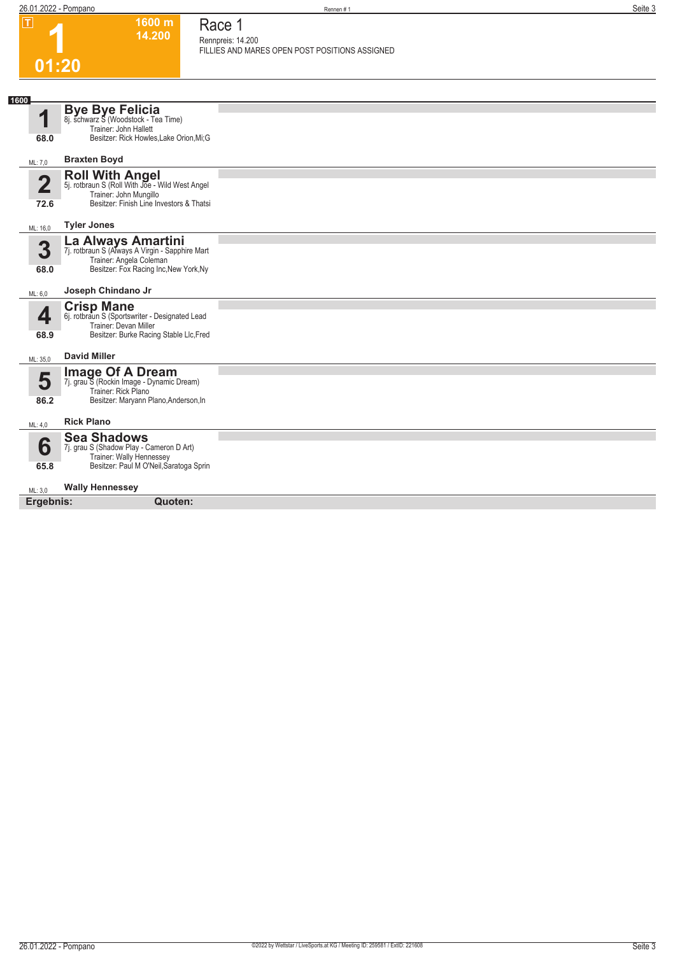**1600 m**

| $ \mathbf{T} $          | 1600 m<br>14.200                                                                             | Race 1                                                              |
|-------------------------|----------------------------------------------------------------------------------------------|---------------------------------------------------------------------|
|                         |                                                                                              | Rennpreis: 14.200<br>FILLIES AND MARES OPEN POST POSITIONS ASSIGNED |
|                         | 01:20                                                                                        |                                                                     |
|                         |                                                                                              |                                                                     |
| 1600                    |                                                                                              |                                                                     |
| 1                       | Bye Bye Felicia<br>8j. schwarz S (Woodstock - Tea Time)                                      |                                                                     |
| 68.0                    | Trainer: John Hallett<br>Besitzer: Rick Howles, Lake Orion, Mi; G                            |                                                                     |
|                         |                                                                                              |                                                                     |
| ML: 7,0                 | <b>Braxten Boyd</b>                                                                          |                                                                     |
| $\overline{\mathbf{2}}$ | Roll With Angel<br>5j. rotbraun S (Roll With Joe - Wild West Angel<br>Trainer: John Mungillo |                                                                     |
| 72.6                    | Besitzer: Finish Line Investors & Thatsi                                                     |                                                                     |
| ML: 16,0                | <b>Tyler Jones</b>                                                                           |                                                                     |
|                         | <b>La Always Amartini</b><br>7j. rotbraun S (Always A Virgin - Sapphire Mart                 |                                                                     |
| 3                       | Trainer: Angela Coleman                                                                      |                                                                     |
| 68.0                    | Besitzer: Fox Racing Inc, New York, Ny                                                       |                                                                     |
| ML: 6,0                 | Joseph Chindano Jr                                                                           |                                                                     |
| 4                       | <b>Crisp Mane</b><br>6j. rotbraun S (Sportswriter - Designated Lead                          |                                                                     |
|                         | Trainer: Devan Miller                                                                        |                                                                     |
| 68.9                    | Besitzer: Burke Racing Stable Llc, Fred                                                      |                                                                     |
| ML: 35,0                | <b>David Miller</b>                                                                          |                                                                     |
| 5                       | <b>Image Of A Dream</b><br>7j. grau S (Rockin Image - Dynamic Dream)                         |                                                                     |
|                         | Trainer: Rick Plano                                                                          |                                                                     |
| 86.2                    | Besitzer: Maryann Plano, Anderson, In                                                        |                                                                     |
| ML: 4,0                 | <b>Rick Plano</b>                                                                            |                                                                     |
| 6                       | <b>Sea Shadows</b><br>7j. grau S (Shadow Play - Cameron D Art)                               |                                                                     |
| 65.8                    | Trainer: Wally Hennessey<br>Besitzer: Paul M O'Neil, Saratoga Sprin                          |                                                                     |
| ML: 3,0                 | <b>Wally Hennessey</b>                                                                       |                                                                     |
| Ergebnis:               | Quoten:                                                                                      |                                                                     |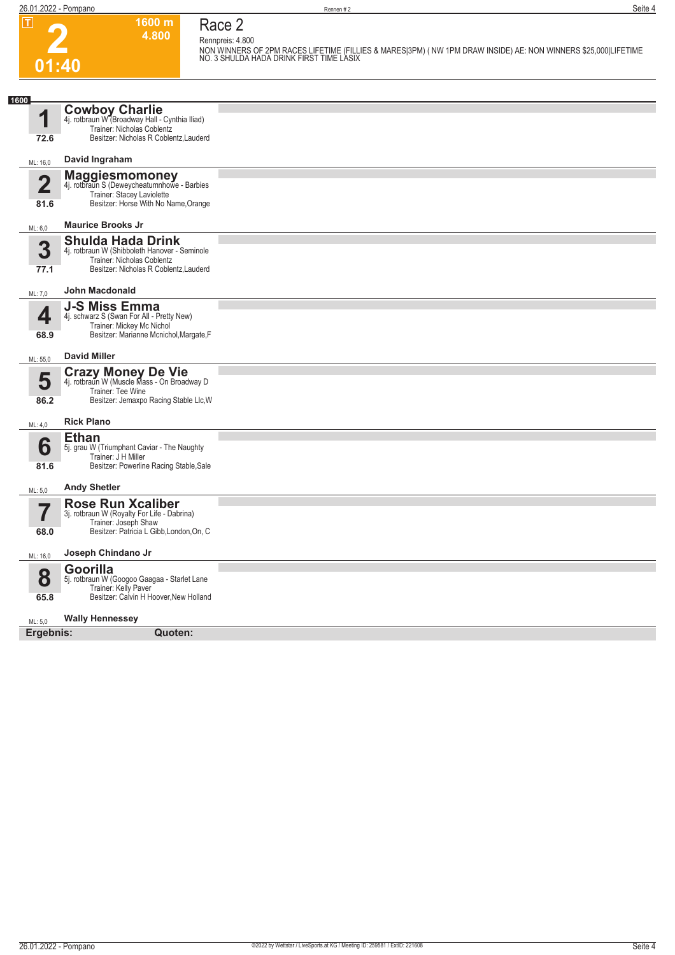**2 01:40** **1600 m 4.800**  **Race 2**

**Rennpreis: 4.800 NON WINNERS OF 2PM RACES LIFETIME (FILLIES & MARES|3PM) ( NW 1PM DRAW INSIDE) AE: NON WINNERS \$25,000|LIFETIME NO. 3 SHULDA HADA DRINK FIRST TIME LASIX** 

| 1600                   |                                                                                                                                                   |  |
|------------------------|---------------------------------------------------------------------------------------------------------------------------------------------------|--|
| 1                      | <b>Cowboy Charlie</b><br>4j. rotbraun W (Broadway Hall - Cynthia Iliad)<br>Trainer: Nicholas Coblentz                                             |  |
| 72.6                   | Besitzer: Nicholas R Coblentz, Lauderd                                                                                                            |  |
| ML: 16,0               | David Ingraham                                                                                                                                    |  |
| $\overline{2}$<br>81.6 | <b>Maggiesmomoney</b><br>4j. rotbraun S (Deweycheatumnhowe - Barbies<br>Trainer: Stacey Laviolette<br>Besitzer: Horse With No Name, Orange        |  |
| ML: 6,0                | <b>Maurice Brooks Jr</b>                                                                                                                          |  |
| 3<br>77.1              | <b>Shulda Hada Drink</b><br>4j. rotbraun W (Shibboleth Hanover - Seminole<br>Trainer: Nicholas Coblentz<br>Besitzer: Nicholas R Coblentz, Lauderd |  |
| ML: 7,0                | <b>John Macdonald</b>                                                                                                                             |  |
| 4<br>68.9              | <b>J-S Miss Emma</b><br>4j. schwarz S (Swan For All - Pretty New)<br>Trainer: Mickey Mc Nichol<br>Besitzer: Marianne Mcnichol, Margate, F         |  |
| ML: 55,0               | <b>David Miller</b>                                                                                                                               |  |
| 5<br>86.2              | <b>Crazy Money De Vie</b><br>4j. rotbraun W (Muscle Mass - On Broadway D<br>Trainer: Tee Wine<br>Besitzer: Jemaxpo Racing Stable Llc, W           |  |
| ML: 4.0                | <b>Rick Plano</b>                                                                                                                                 |  |
| 6<br>81.6              | <b>Ethan</b><br>5j. grau W (Triumphant Caviar - The Naughty<br>Trainer: J H Miller<br>Besitzer: Powerline Racing Stable, Sale                     |  |
|                        | <b>Andy Shetler</b>                                                                                                                               |  |
| ML: 5,0<br>╾<br>68.0   | <b>Rose Run Xcaliber</b><br>3j. rotbraun W (Royalty For Life - Dabrina)<br>Trainer: Joseph Shaw<br>Besitzer: Patricia L Gibb, London, On, C       |  |
|                        | Joseph Chindano Jr                                                                                                                                |  |
| ML: 16,0               |                                                                                                                                                   |  |
| 8                      | Goorilla<br>5j. rotbraun W (Googoo Gaagaa - Starlet Lane<br>Trainer: Kelly Paver                                                                  |  |
| 65.8                   | Besitzer: Calvin H Hoover, New Holland                                                                                                            |  |
| ML: 5,0                | <b>Wally Hennessey</b>                                                                                                                            |  |
| Ergebnis:              | Quoten:                                                                                                                                           |  |
|                        |                                                                                                                                                   |  |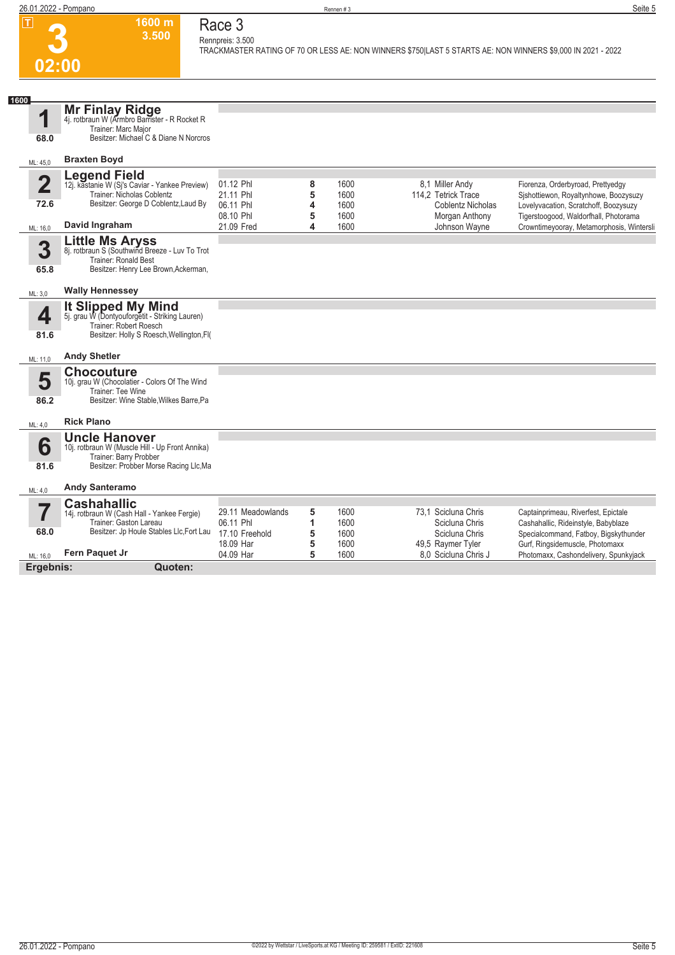

### **Race 3 Rennpreis: 3.500**

**1600 m 3.500** 

**TRACKMASTER RATING OF 70 OR LESS AE: NON WINNERS \$750|LAST 5 STARTS AE: NON WINNERS \$9,000 IN 2021 - 2022** 

| 1600<br>4                       | Mr Finlay Ridge<br>4j. rotbraun W (Armbro Barrister - R Rocket R<br>Trainer: Marc Major                                                     |                                                  |             |                      |                                                                    |                                                                                                                     |
|---------------------------------|---------------------------------------------------------------------------------------------------------------------------------------------|--------------------------------------------------|-------------|----------------------|--------------------------------------------------------------------|---------------------------------------------------------------------------------------------------------------------|
| 68.0                            | Besitzer: Michael C & Diane N Norcros                                                                                                       |                                                  |             |                      |                                                                    |                                                                                                                     |
| ML: 45,0                        | <b>Braxten Boyd</b>                                                                                                                         |                                                  |             |                      |                                                                    |                                                                                                                     |
| $\overline{\mathbf{2}}$<br>72.6 | Legend Field<br>12j. kastanie W (Sj's Caviar - Yankee Preview)<br>Trainer: Nicholas Coblentz<br>Besitzer: George D Coblentz, Laud By        | 01.12 Phl<br>21.11 Phl<br>06.11 Phl              | 8<br>5<br>4 | 1600<br>1600<br>1600 | 8,1 Miller Andy<br>114.2 Tetrick Trace<br><b>Coblentz Nicholas</b> | Fiorenza, Orderbyroad, Prettyedgy<br>Sishottiewon, Royaltynhowe, Boozysuzy<br>Lovelyvacation, Scratchoff, Boozysuzy |
| ML: 16,0                        | David Ingraham                                                                                                                              | 08.10 Phl<br>21.09 Fred                          | 5<br>4      | 1600<br>1600         | Morgan Anthony<br>Johnson Wayne                                    | Tigerstoogood, Waldorfhall, Photorama<br>Crowntimeyooray, Metamorphosis, Wintersli                                  |
| 3<br>65.8                       | <b>Little Ms Aryss</b><br>8j. rotbraun S (Southwind Breeze - Luv To Trot<br>Trainer: Ronald Best<br>Besitzer: Henry Lee Brown, Ackerman,    |                                                  |             |                      |                                                                    |                                                                                                                     |
| ML: 3,0                         | <b>Wally Hennessey</b>                                                                                                                      |                                                  |             |                      |                                                                    |                                                                                                                     |
| 4<br>81.6                       | It Slipped My Mind<br>5j. grau W (Dontyouforgetit - Striking Lauren)<br>Trainer: Robert Roesch<br>Besitzer: Holly S Roesch, Wellington, FI( |                                                  |             |                      |                                                                    |                                                                                                                     |
| ML: 11,0                        | <b>Andy Shetler</b>                                                                                                                         |                                                  |             |                      |                                                                    |                                                                                                                     |
| 5<br>86.2                       | <b>Chocouture</b><br>10j. grau W (Chocolatier - Colors Of The Wind<br>Trainer: Tee Wine<br>Besitzer: Wine Stable, Wilkes Barre, Pa          |                                                  |             |                      |                                                                    |                                                                                                                     |
| ML: 4,0                         | <b>Rick Plano</b>                                                                                                                           |                                                  |             |                      |                                                                    |                                                                                                                     |
| 6<br>81.6                       | <b>Uncle Hanover</b><br>10j. rotbraun W (Muscle Hill - Up Front Annika)<br>Trainer: Barry Probber<br>Besitzer: Probber Morse Racing Llc, Ma |                                                  |             |                      |                                                                    |                                                                                                                     |
| ML: 4,0                         | <b>Andy Santeramo</b>                                                                                                                       |                                                  |             |                      |                                                                    |                                                                                                                     |
| 68.0                            | <b>Cashahallic</b><br>14j. rotbraun W (Cash Hall - Yankee Fergie)<br>Trainer: Gaston Lareau<br>Besitzer: Jp Houle Stables Llc, Fort Lau     | 29.11 Meadowlands<br>06.11 Phl<br>17.10 Freehold | 5<br>1<br>5 | 1600<br>1600<br>1600 | 73.1 Scicluna Chris<br>Scicluna Chris<br>Scicluna Chris            | Captainprimeau, Riverfest, Epictale<br>Cashahallic, Rideinstyle, Babyblaze<br>Specialcommand, Fatboy, Bigskythunder |
| ML: 16,0                        | Fern Paquet Jr                                                                                                                              | 18.09 Har<br>04.09 Har                           | 5<br>5      | 1600<br>1600         | 49,5 Raymer Tyler<br>8.0 Scicluna Chris J                          | Gurf, Ringsidemuscle, Photomaxx<br>Photomaxx, Cashondelivery, Spunkyjack                                            |
| Ergebnis:                       | Quoten:                                                                                                                                     |                                                  |             |                      |                                                                    |                                                                                                                     |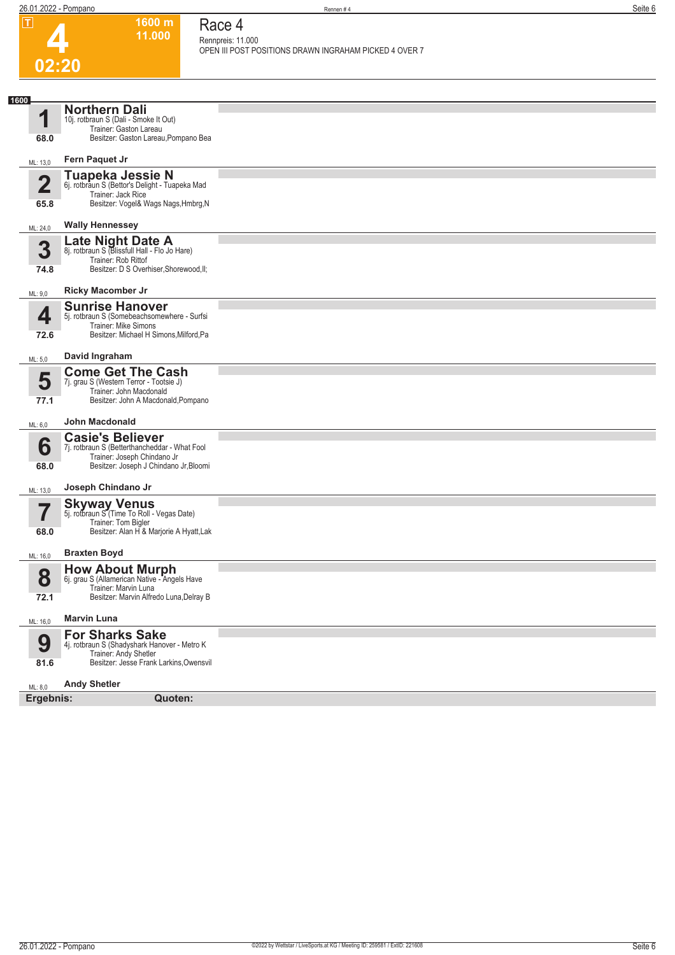**1600 m 11.000**  **Race 4**



| ட                               | 1000111<br>11.000                                                                                                                                 | Race 4<br>Rennpreis: 11.000                            |
|---------------------------------|---------------------------------------------------------------------------------------------------------------------------------------------------|--------------------------------------------------------|
|                                 |                                                                                                                                                   | OPEN III POST POSITIONS DRAWN INGRAHAM PICKED 4 OVER 7 |
| 02:20                           |                                                                                                                                                   |                                                        |
|                                 |                                                                                                                                                   |                                                        |
| 1600<br>1<br>68.0               | <b>Northern Dali</b><br>10j. rotbraun S (Dali - Smoke It Out)<br>Trainer: Gaston Lareau<br>Besitzer: Gaston Lareau, Pompano Bea                   |                                                        |
| ML: 13,0                        | Fern Paquet Jr                                                                                                                                    |                                                        |
| $\overline{\mathbf{2}}$<br>65.8 | <b>Tuapeka Jessie N</b><br>6j. rotbraun S (Bettor's Delight - Tuapeka Mad<br>Trainer: Jack Rice<br>Besitzer: Vogel& Wags Nags, Hmbrg, N           |                                                        |
| ML: 24,0                        | <b>Wally Hennessey</b>                                                                                                                            |                                                        |
| 3<br>74.8                       | Late Night Date A<br>8j. rotbraun S (Blissfull Hall - Flo Jo Hare)<br>Trainer: Rob Rittof<br>Besitzer: D S Overhiser, Shorewood, II;              |                                                        |
| ML: 9,0                         | <b>Ricky Macomber Jr</b>                                                                                                                          |                                                        |
| 4<br>72.6                       | <b>Sunrise Hanover</b><br>5j. rotbraun S (Somebeachsomewhere - Surfsi<br><b>Trainer: Mike Simons</b><br>Besitzer: Michael H Simons, Milford, Pa   |                                                        |
| ML: 5,0                         | David Ingraham                                                                                                                                    |                                                        |
| 5<br>77.1                       | <b>Come Get The Cash</b><br>7j. grau S (Western Terror - Tootsie J)<br>Trainer: John Macdonald<br>Besitzer: John A Macdonald, Pompano             |                                                        |
| ML: 6,0                         | <b>John Macdonald</b>                                                                                                                             |                                                        |
| 6<br>68.0                       | <b>Casie's Believer</b><br>7j. rotbraun S (Betterthancheddar - What Fool<br>Trainer: Joseph Chindano Jr<br>Besitzer: Joseph J Chindano Jr, Bloomi |                                                        |
| ML: 13,0                        | Joseph Chindano Jr                                                                                                                                |                                                        |
| 68.0                            | <b>Skyway Venus</b><br>5j. rotbraun S (Time To Roll - Vegas Date)<br>Trainer: Tom Bigler<br>Besitzer: Alan H & Marjorie A Hyatt, Lak              |                                                        |
| ML: 16,0                        | <b>Braxten Boyd</b>                                                                                                                               |                                                        |
| 8<br>72.1                       | <b>How About Murph</b><br>6j. grau S (Allamerican Native - Angels Have<br>Trainer: Marvin Luna<br>Besitzer: Marvin Alfredo Luna, Delray B         |                                                        |
| ML: 16,0                        | <b>Marvin Luna</b>                                                                                                                                |                                                        |
| 9<br>81.6                       | <b>For Sharks Sake</b><br>4j. rotbraun S (Shadyshark Hanover - Metro K<br>Trainer: Andy Shetler<br>Besitzer: Jesse Frank Larkins, Owensvil        |                                                        |
| ML: 8,0                         | <b>Andy Shetler</b>                                                                                                                               |                                                        |
| Ergebnis:                       | Quoten:                                                                                                                                           |                                                        |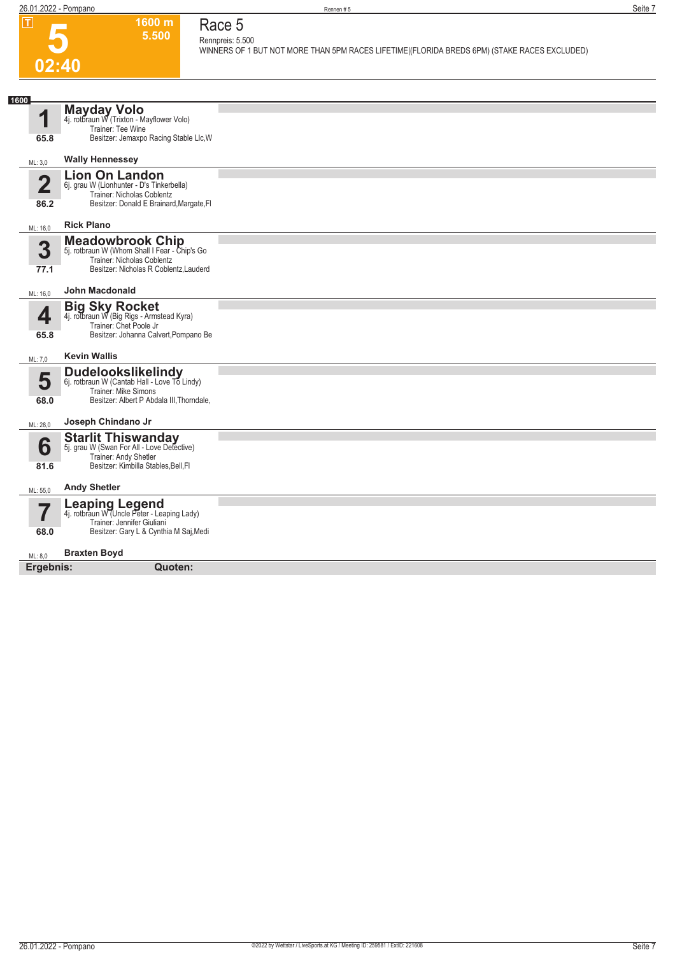**02:40**

**5**

### **1600 m 5.500**

**Race 5 Rennpreis: 5.500**

**WINNERS OF 1 BUT NOT MORE THAN 5PM RACES LIFETIME|(FLORIDA BREDS 6PM) (STAKE RACES EXCLUDED)** 

| 1600<br>◢               | Mayday Volo<br>4j. rotbraun W (Trixton - Mayflower Volo)                    |  |
|-------------------------|-----------------------------------------------------------------------------|--|
|                         | Trainer: Tee Wine                                                           |  |
| 65.8                    | Besitzer: Jemaxpo Racing Stable Llc, W                                      |  |
| ML: 3,0                 | <b>Wally Hennessey</b>                                                      |  |
|                         | <b>Lion On Landon</b>                                                       |  |
| $\overline{\mathbf{2}}$ | 6j. grau W (Lionhunter - D's Tinkerbella)<br>Trainer: Nicholas Coblentz     |  |
| 86.2                    | Besitzer: Donald E Brainard, Margate, FI                                    |  |
| ML: 16,0                | <b>Rick Plano</b>                                                           |  |
|                         | <b>Meadowbrook Chip</b>                                                     |  |
| 3                       | 5j. rotbraun W (Whom Shall I Fear - Chip's Go<br>Trainer: Nicholas Coblentz |  |
| 77.1                    | Besitzer: Nicholas R Coblentz, Lauderd                                      |  |
| ML: 16,0                | John Macdonald                                                              |  |
|                         | <b>Big Sky Rocket</b>                                                       |  |
| 4                       | 4j. rotbraun W (Big Rigs - Armstead Kyra)<br>Trainer: Chet Poole Jr         |  |
| 65.8                    | Besitzer: Johanna Calvert, Pompano Be                                       |  |
| ML: 7,0                 | <b>Kevin Wallis</b>                                                         |  |
|                         | <b>Dudelookslikelindy</b>                                                   |  |
| 5                       | 6j. rotbraun W (Cantab Hall - Love To Lindy)<br>Trainer: Mike Simons        |  |
| 68.0                    | Besitzer: Albert P Abdala III, Thorndale,                                   |  |
| ML: 28,0                | Joseph Chindano Jr                                                          |  |
| 6                       | <b>Starlit Thiswanday</b>                                                   |  |
|                         | 5j. grau W (Swan For All - Love Detective)<br>Trainer: Andy Shetler         |  |
| 81.6                    | Besitzer: Kimbilla Stables, Bell, Fl                                        |  |
| ML: 55,0                | <b>Andy Shetler</b>                                                         |  |
|                         | Leaping Legend<br>4j. rotbraun W (Uncle Peter - Leaping Lady)               |  |
|                         | Trainer: Jennifer Giuliani<br>Besitzer: Gary L & Cynthia M Saj, Medi        |  |
| 68.0                    |                                                                             |  |
| ML: 8,0                 | <b>Braxten Boyd</b>                                                         |  |
| Ergebnis:               | Quoten:                                                                     |  |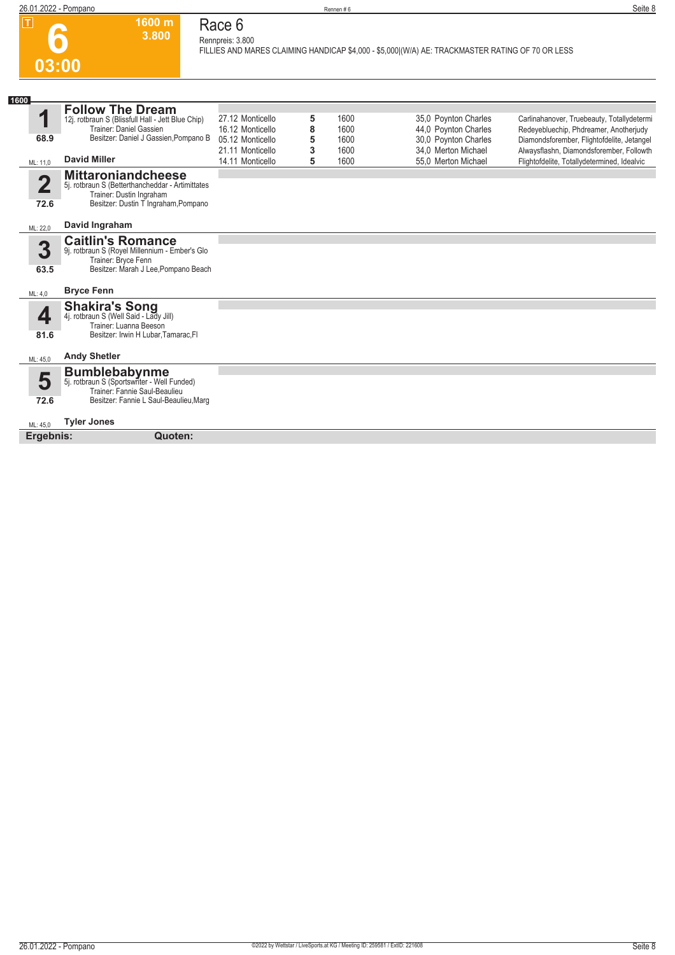

#### **Race 6 Rennpreis: 3.800**

**1600 m 3.800** 

**FILLIES AND MARES CLAIMING HANDICAP \$4,000 - \$5,000|(W/A) AE: TRACKMASTER RATING OF 70 OR LESS** 

| 1600                  |                                                                                                                                                                        |                                                                                                  |                       |                                      |                                                                                                                    |                                                                                                                                                                                                                               |
|-----------------------|------------------------------------------------------------------------------------------------------------------------------------------------------------------------|--------------------------------------------------------------------------------------------------|-----------------------|--------------------------------------|--------------------------------------------------------------------------------------------------------------------|-------------------------------------------------------------------------------------------------------------------------------------------------------------------------------------------------------------------------------|
| 1<br>68.9<br>ML: 11,0 | <b>Follow The Dream</b><br>12j. rotbraun S (Blissfull Hall - Jett Blue Chip)<br>Trainer: Daniel Gassien<br>Besitzer: Daniel J Gassien Pompano B<br><b>David Miller</b> | 27.12 Monticello<br>16.12 Monticello<br>05.12 Monticello<br>21.11 Monticello<br>14.11 Monticello | 5<br>8<br>5<br>3<br>5 | 1600<br>1600<br>1600<br>1600<br>1600 | 35,0 Poynton Charles<br>44,0 Poynton Charles<br>30,0 Poynton Charles<br>34.0 Merton Michael<br>55.0 Merton Michael | Carlinahanover, Truebeauty, Totallydetermi<br>Redeyebluechip, Phdreamer, Anotherjudy<br>Diamondsforember, Flightofdelite, Jetangel<br>Alwaysflashn, Diamondsforember, Followth<br>Flightofdelite, Totallydetermined, Idealvic |
| 2<br>72.6             | <b>Mittaroniandcheese</b><br>5j. rotbraun S (Betterthancheddar - Artimittates<br>Trainer: Dustin Ingraham<br>Besitzer: Dustin T Ingraham, Pompano                      |                                                                                                  |                       |                                      |                                                                                                                    |                                                                                                                                                                                                                               |
| ML: 22,0              | David Ingraham                                                                                                                                                         |                                                                                                  |                       |                                      |                                                                                                                    |                                                                                                                                                                                                                               |
| 3<br>63.5             | <b>Caitlin's Romance</b><br>9j. rotbraun S (Royel Millennium - Ember's Glo<br>Trainer: Bryce Fenn<br>Besitzer: Marah J Lee, Pompano Beach                              |                                                                                                  |                       |                                      |                                                                                                                    |                                                                                                                                                                                                                               |
| ML: 4,0               | <b>Bryce Fenn</b>                                                                                                                                                      |                                                                                                  |                       |                                      |                                                                                                                    |                                                                                                                                                                                                                               |
| ◢<br>81.6             | <b>Shakira's Song</b><br>4j. rotbraun S (Well Said - Lady Jill)<br>Trainer: Luanna Beeson<br>Besitzer: Irwin H Lubar, Tamarac, FI                                      |                                                                                                  |                       |                                      |                                                                                                                    |                                                                                                                                                                                                                               |
| ML: 45,0              | <b>Andy Shetler</b>                                                                                                                                                    |                                                                                                  |                       |                                      |                                                                                                                    |                                                                                                                                                                                                                               |
| 5<br>72.6             | <b>Bumblebabynme</b><br>5j. rotbraun S (Sportswriter - Well Funded)<br>Trainer: Fannie Saul-Beaulieu<br>Besitzer: Fannie L Saul-Beaulieu, Marg                         |                                                                                                  |                       |                                      |                                                                                                                    |                                                                                                                                                                                                                               |
| ML: 45.0              | <b>Tyler Jones</b>                                                                                                                                                     |                                                                                                  |                       |                                      |                                                                                                                    |                                                                                                                                                                                                                               |
| Ergebnis:             | Quoten:                                                                                                                                                                |                                                                                                  |                       |                                      |                                                                                                                    |                                                                                                                                                                                                                               |
|                       |                                                                                                                                                                        |                                                                                                  |                       |                                      |                                                                                                                    |                                                                                                                                                                                                                               |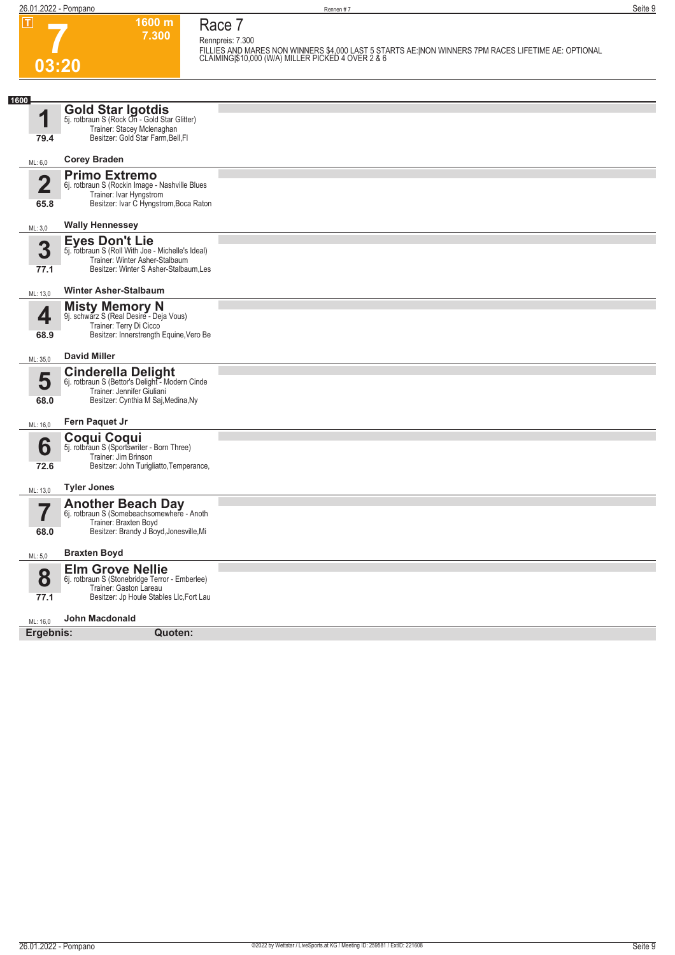**03:20**

**7**

**1600 m 7.300**  **Race 7**

**Rennpreis: 7.300 FILLIES AND MARES NON WINNERS \$4,000 LAST 5 STARTS AE:|NON WINNERS 7PM RACES LIFETIME AE: OPTIONAL CLAIMING|\$10,000 (W/A) MILLER PICKED 4 OVER 2 & 6** 

| 1600                            |                                                                                                                                                        |  |
|---------------------------------|--------------------------------------------------------------------------------------------------------------------------------------------------------|--|
| 1                               | <b>Gold Star Igotdis</b><br>5j. rotbraun S (Rock On - Gold Star Glitter)<br>Trainer: Stacey Mclenaghan                                                 |  |
| 79.4                            | Besitzer: Gold Star Farm, Bell, Fl                                                                                                                     |  |
| ML: 6,0                         | <b>Corey Braden</b>                                                                                                                                    |  |
| $\overline{\mathbf{2}}$<br>65.8 | <b>Primo Extremo</b><br>6j. rotbraun S (Rockin Image - Nashville Blues<br>Trainer: Ivar Hyngstrom<br>Besitzer: Ivar C Hyngstrom, Boca Raton            |  |
| ML: 3,0                         | <b>Wally Hennessey</b>                                                                                                                                 |  |
| 3<br>77.1                       | <b>Eyes Don't Lie</b><br>5j. rotbraun S (Roll With Joe - Michelle's Ideal)<br>Trainer: Winter Asher-Stalbaum<br>Besitzer: Winter S Asher-Stalbaum, Les |  |
| ML: 13,0                        | <b>Winter Asher-Stalbaum</b>                                                                                                                           |  |
| 4<br>68.9                       | <b>Misty Memory N</b><br>9j. schwarz S (Real Desire - Deja Vous)<br>Trainer: Terry Di Cicco<br>Besitzer: Innerstrength Equine, Vero Be                 |  |
| ML: 35,0                        | <b>David Miller</b>                                                                                                                                    |  |
| 5<br>68.0                       | <b>Cinderella Delight</b><br>6j. rotbraun S (Bettor's Delight - Modern Cinde<br>Trainer: Jennifer Giuliani<br>Besitzer: Cynthia M Saj, Medina, Ny      |  |
| ML: 16,0                        | Fern Paquet Jr                                                                                                                                         |  |
| 6<br>72.6                       | Coqui Coqui<br>5j. rotbraun S (Sportswriter - Born Three)<br>Trainer: Jim Brinson<br>Besitzer: John Turigliatto, Temperance,                           |  |
| ML: 13,0                        | <b>Tyler Jones</b>                                                                                                                                     |  |
| 7                               | <b>Another Beach Day</b><br>6j. rotbraun S (Somebeachsomewhere - Anoth<br>Trainer: Braxten Boyd                                                        |  |
| 68.0                            | Besitzer: Brandy J Boyd, Jonesville, Mi                                                                                                                |  |
| ML: 5,0                         | <b>Braxten Boyd</b>                                                                                                                                    |  |
| 8<br>77.1                       | <b>Elm Grove Nellie</b><br>6j. rotbraun S (Stonebridge Terror - Emberlee)<br>Trainer: Gaston Lareau<br>Besitzer: Jp Houle Stables Llc, Fort Lau        |  |
| ML: 16,0                        | <b>John Macdonald</b>                                                                                                                                  |  |
| Ergebnis:                       | Quoten:                                                                                                                                                |  |
|                                 |                                                                                                                                                        |  |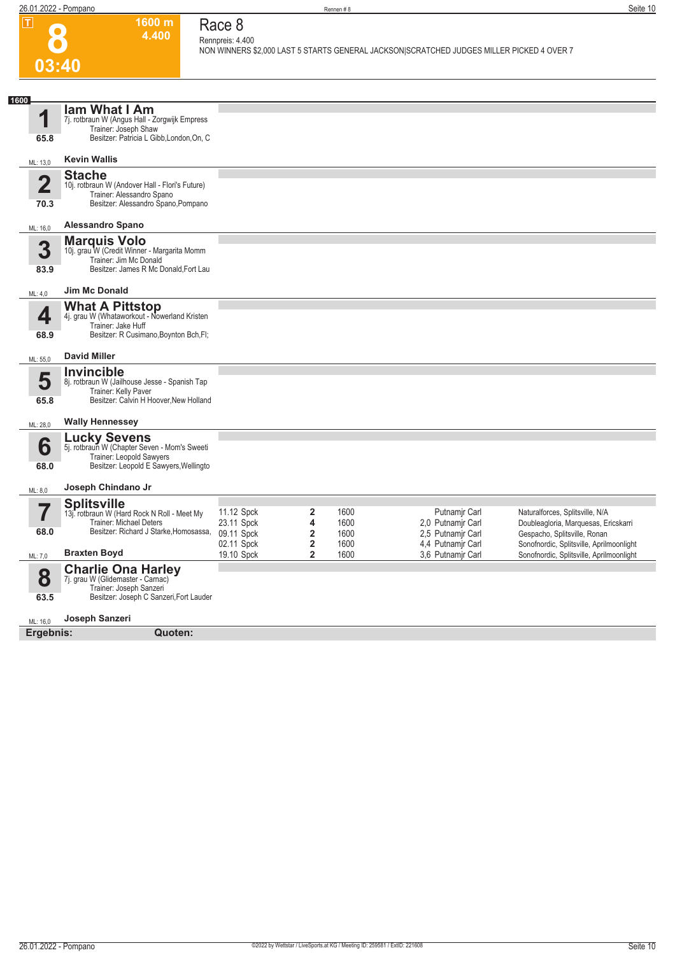**1600 m 4.400**  **Race 8 Rennpreis: 4.400**

**NON WINNERS \$2,000 LAST 5 STARTS GENERAL JACKSON|SCRATCHED JUDGES MILLER PICKED 4 OVER 7** 

## **8 03:40**

| 1600<br>1                       | lam What I Am<br>7j. rotbraun W (Angus Hall - Zorgwijk Empress                                                                            |                                        |                                                         |                      |                                                         |                                                                                                         |
|---------------------------------|-------------------------------------------------------------------------------------------------------------------------------------------|----------------------------------------|---------------------------------------------------------|----------------------|---------------------------------------------------------|---------------------------------------------------------------------------------------------------------|
| 65.8                            | Trainer: Joseph Shaw<br>Besitzer: Patricia L Gibb, London, On, C                                                                          |                                        |                                                         |                      |                                                         |                                                                                                         |
| ML: 13,0                        | <b>Kevin Wallis</b>                                                                                                                       |                                        |                                                         |                      |                                                         |                                                                                                         |
| $\overline{\mathbf{2}}$<br>70.3 | <b>Stache</b><br>10j. rotbraun W (Andover Hall - Flori's Future)<br>Trainer: Alessandro Spano<br>Besitzer: Alessandro Spano, Pompano      |                                        |                                                         |                      |                                                         |                                                                                                         |
| ML: 16,0                        | <b>Alessandro Spano</b>                                                                                                                   |                                        |                                                         |                      |                                                         |                                                                                                         |
| 3<br>83.9                       | <b>Marquis Volo</b><br>10j. grau W (Credit Winner - Margarita Momm<br>Trainer: Jim Mc Donald<br>Besitzer: James R Mc Donald, Fort Lau     |                                        |                                                         |                      |                                                         |                                                                                                         |
| ML: 4,0                         | <b>Jim Mc Donald</b>                                                                                                                      |                                        |                                                         |                      |                                                         |                                                                                                         |
| 4                               | <b>What A Pittstop</b><br>4j. grau W (Whataworkout - Nowerland Kristen<br>Trainer: Jake Huff                                              |                                        |                                                         |                      |                                                         |                                                                                                         |
| 68.9                            | Besitzer: R Cusimano, Boynton Bch, Fl;                                                                                                    |                                        |                                                         |                      |                                                         |                                                                                                         |
| ML: 55,0                        | <b>David Miller</b>                                                                                                                       |                                        |                                                         |                      |                                                         |                                                                                                         |
| 5<br>65.8                       | <b>Invincible</b><br>8j. rotbraun W (Jailhouse Jesse - Spanish Tap<br>Trainer: Kelly Paver<br>Besitzer: Calvin H Hoover, New Holland      |                                        |                                                         |                      |                                                         |                                                                                                         |
| ML: 28,0                        | <b>Wally Hennessey</b>                                                                                                                    |                                        |                                                         |                      |                                                         |                                                                                                         |
| 6<br>68.0                       | <b>Lucky Sevens</b><br>5j. rotbraum W (Chapter Seven - Mom's Sweeti<br>Trainer: Leopold Sawyers<br>Besitzer: Leopold E Sawyers, Wellingto |                                        |                                                         |                      |                                                         |                                                                                                         |
| ML: 8,0                         | Joseph Chindano Jr                                                                                                                        |                                        |                                                         |                      |                                                         |                                                                                                         |
| 7<br>68.0                       | <b>Splitsville</b><br>13j. rotbraun W (Hard Rock N Roll - Meet My<br>Trainer: Michael Deters<br>Besitzer: Richard J Starke, Homosassa,    | 11.12 Spck<br>23.11 Spck<br>09.11 Spck | $\overline{\mathbf{2}}$<br>4<br>$\overline{\mathbf{2}}$ | 1600<br>1600<br>1600 | Putnamjr Carl<br>2.0 Putnamir Carl<br>2,5 Putnamir Carl | Naturalforces, Splitsville, N/A<br>Doubleagloria, Marquesas, Ericskarri<br>Gespacho, Splitsville, Ronan |
| ML: 7,0                         | <b>Braxten Boyd</b>                                                                                                                       | 02.11 Spck<br>19.10 Spck               | $\overline{2}$<br>$\overline{2}$                        | 1600<br>1600         | 4,4 Putnamjr Carl<br>3.6 Putnamir Carl                  | Sonofnordic, Splitsville, Aprilmoonlight<br>Sonofnordic, Splitsville, Aprilmoonlight                    |
| 8<br>63.5                       | <b>Charlie Ona Harley</b><br>7j. grau W (Glidemaster - Carnac)<br>Trainer: Joseph Sanzeri<br>Besitzer: Joseph C Sanzeri, Fort Lauder      |                                        |                                                         |                      |                                                         |                                                                                                         |
| ML: 16,0                        | Joseph Sanzeri                                                                                                                            |                                        |                                                         |                      |                                                         |                                                                                                         |
| Ergebnis:                       | Quoten:                                                                                                                                   |                                        |                                                         |                      |                                                         |                                                                                                         |